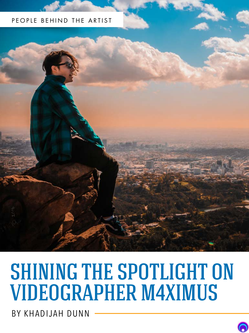## PEOPLE BEHIND THE ARTIST



# SHINING THE SPOTLIGHT ON VIDEOGRAPHER M4XIMUS

BY KHADIJAH DUNN

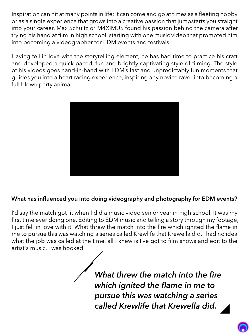Inspiration can hit at many points in life; it can come and go at times as a fleeting hobby or as a single experience that grows into a creative passion that jumpstarts you straight into your career. Max Schultz or M4XIMUS found his passion behind the camera after trying his hand at film in high school, starting with one music video that prompted him into becoming a videographer for EDM events and festivals.

Having fell in love with the storytelling element, he has had time to practice his craft and developed a quick-paced, fun and brightly captivating style of filming. The style of his videos goes hand-in-hand with EDM's fast and unpredictably fun moments that guides you into a heart racing experience, inspiring any novice raver into becoming a full blown party animal.



## What has influenced you into doing videography and photography for EDM events?

I'd say the match got lit when I did a music video senior year in high school. It was my first time ever doing one. Editing to EDM music and telling a story through my footage, I just fell in love with it. What threw the match into the fire which ignited the flame in me to pursue this was watching a series called Krewlife that Krewella did. I had no idea what the job was called at the time, all I knew is I've got to film shows and edit to the artist's music. I was hooked.

> *What threw the match into the fire which ignited the flame in me to pursue this was watching a series called Krewlife that Krewella did.*

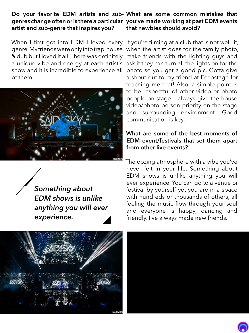## artist and sub-genre that inspires you?

& dub but I loved it all. There was definitely make friends with the lighting guys and of them.



*Something about EDM shows is unlike anything you will ever experience.*

#### Do your favorite EDM artists and sub-What are some common mistakes that genres change often or is there a particular you've made working at past EDM events that newbies should avoid?

When I first got into EDM I loved every If you're filming at a club that is not well lit, genre. My friends were only into trap, house when the artist goes for the family photo, a unique vibe and energy at each artist's ask if they can turn all the lights on for the show and it is incredible to experience all photo so you get a good pic. Gotta give a shout out to my friend at Echostage for teaching me that! Also, a simple point is to be respectful of other video or photo people on stage. I always give the house video/photo person priority on the stage and surrounding environment. Good communication is key.

#### What are some of the best moments of EDM event/festivals that set them apart from other live events?

The oozing atmosphere with a vibe you've never felt in your life. Something about EDM shows is unlike anything you will ever experience. You can go to a venue or festival by yourself yet you are in a space with hundreds or thousands of others, all feeling the music flow through your soul and everyone is happy, dancing and friendly. I've always made new friends.





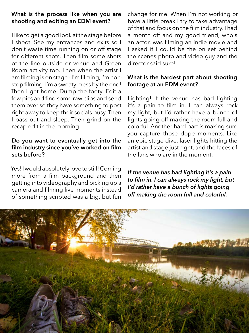## What is the process like when you are shooting and editing an EDM event?

I like to get a good look at the stage before I shoot. See my entrances and exits so I don't waste time running on or off stage for different shots. Then film some shots of the line outside or venue and Green Room activity too. Then when the artist I am filming is on stage - I'm filming, I'm nonstop filming. I'm a sweaty mess by the end! Then I get home. Dump the footy. Edit a few pics and find some raw clips and send them over so they have something to post right away to keep their socials busy. Then I pass out and sleep. Then grind on the recap edit in the morning!

#### Do you want to eventually get into the film industry since you've worked on film sets before?

Yes! I would absolutely love to still! Coming more from a film background and then getting into videography and picking up a camera and filming live moments instead of something scripted was a big, but fun

change for me. When I'm not working or have a little break I try to take advantage of that and focus on the film industry. I had a month off and my good friend, who's an actor, was filming an indie movie and I asked if I could be the on set behind the scenes photo and video guy and the director said sure!

#### What is the hardest part about shooting footage at an EDM event?

Lighting! If the venue has bad lighting it's a pain to film in. I can always rock my light, but I'd rather have a bunch of lights going off making the room full and colorful. Another hard part is making sure you capture those dope moments. Like an epic stage dive, laser lights hitting the artist and stage just right, and the faces of the fans who are in the moment.

*If the venue has bad lighting it's a pain to film in. I can always rock my light, but I'd rather have a bunch of lights going off making the room full and colorful.*

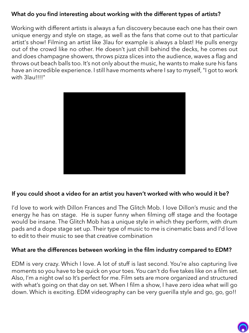## What do you find interesting about working with the different types of artists?

Working with different artists is always a fun discovery because each one has their own unique energy and style on stage, as well as the fans that come out to that particular artist's show! Filming an artist like 3lau for example is always a blast! He pulls energy out of the crowd like no other. He doesn't just chill behind the decks, he comes out and does champagne showers, throws pizza slices into the audience, waves a flag and throws out beach balls too. It's not only about the music, he wants to make sure his fans have an incredible experience. I still have moments where I say to myself, "I got to work with 3lau!!!!"



## If you could shoot a video for an artist you haven't worked with who would it be?

I'd love to work with Dillon Frances and The Glitch Mob. I love Dillon's music and the energy he has on stage. He is super funny when filming off stage and the footage would be insane. The Glitch Mob has a unique style in which they perform, with drum pads and a dope stage set up. Their type of music to me is cinematic bass and I'd love to edit to their music to see that creative combination

## What are the differences between working in the film industry compared to EDM?

EDM is very crazy. Which I love. A lot of stuff is last second. You're also capturing live moments so you have to be quick on your toes. You can't do five takes like on a film set. Also, I'm a night owl so It's perfect for me. Film sets are more organized and structured with what's going on that day on set. When I film a show, I have zero idea what will go down. Which is exciting. EDM videography can be very guerilla style and go, go, go!!

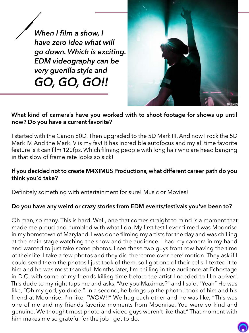*When I film a show, I have zero idea what will go down. Which is exciting. EDM videography can be very guerilla style and GO, GO, GO!!*



## What kind of camera's have you worked with to shoot footage for shows up until now? Do you have a current favorite?

I started with the Canon 60D. Then upgraded to the 5D Mark III. And now I rock the 5D Mark IV. And the Mark IV is my fav! It has incredible autofocus and my all time favorite feature is it can film 120fps. Which filming people with long hair who are head banging in that slow of frame rate looks so sick!

### If you decided not to create M4XIMUS Productions, what different career path do you think you'd take?

Definitely something with entertainment for sure! Music or Movies!

## Do you have any weird or crazy stories from EDM events/festivals you've been to?

Oh man, so many. This is hard. Well, one that comes straight to mind is a moment that made me proud and humbled with what I do. My first fest I ever filmed was Moonrise in my hometown of Maryland. I was done filming my artists for the day and was chilling at the main stage watching the show and the audience. I had my camera in my hand and wanted to just take some photos. I see these two guys front row having the time of their life. I take a few photos and they did the 'come over here' motion. They ask if I could send them the photos I just took of them, so I got one of their cells. I texted it to him and he was most thankful. Months later, I'm chilling in the audience at Echostage in D.C. with some of my friends killing time before the artist I needed to film arrived. This dude to my right taps me and asks, "Are you Maximus?" and I said, "Yeah" He was like, "Oh my god, yo dude!". In a second, he brings up the photo I took of him and his friend at Moonrise. I'm like, "WOW!!" We hug each other and he was like, "This was one of me and my friends favorite moments from Moonrise. You were so kind and genuine. We thought most photo and video guys weren't like that." That moment with him makes me so grateful for the job I get to do.